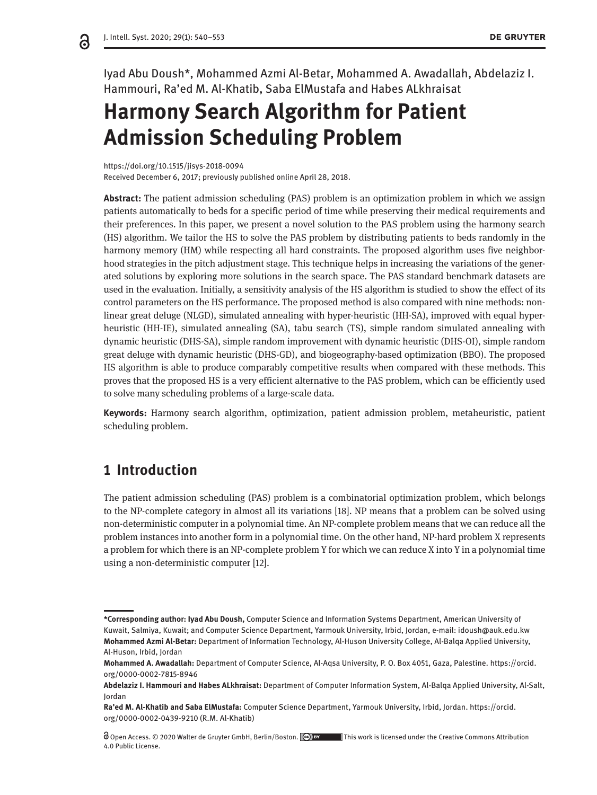ခ

Iyad Abu Doush\*, Mohammed Azmi Al-Betar, Mohammed A. Awadallah, Abdelaziz I. Hammouri, Ra'ed M. Al-Khatib, Saba ElMustafa and Habes ALkhraisat

# **Harmony Search Algorithm for Patient Admission Scheduling Problem**

https://doi.org/10.1515/jisys-2018-0094 Received December 6, 2017; previously published online April 28, 2018.

**Abstract:** The patient admission scheduling (PAS) problem is an optimization problem in which we assign patients automatically to beds for a specific period of time while preserving their medical requirements and their preferences. In this paper, we present a novel solution to the PAS problem using the harmony search (HS) algorithm. We tailor the HS to solve the PAS problem by distributing patients to beds randomly in the harmony memory (HM) while respecting all hard constraints. The proposed algorithm uses five neighborhood strategies in the pitch adjustment stage. This technique helps in increasing the variations of the generated solutions by exploring more solutions in the search space. The PAS standard benchmark datasets are used in the evaluation. Initially, a sensitivity analysis of the HS algorithm is studied to show the effect of its control parameters on the HS performance. The proposed method is also compared with nine methods: nonlinear great deluge (NLGD), simulated annealing with hyper-heuristic (HH-SA), improved with equal hyperheuristic (HH-IE), simulated annealing (SA), tabu search (TS), simple random simulated annealing with dynamic heuristic (DHS-SA), simple random improvement with dynamic heuristic (DHS-OI), simple random great deluge with dynamic heuristic (DHS-GD), and biogeography-based optimization (BBO). The proposed HS algorithm is able to produce comparably competitive results when compared with these methods. This proves that the proposed HS is a very efficient alternative to the PAS problem, which can be efficiently used to solve many scheduling problems of a large-scale data.

**Keywords:** Harmony search algorithm, optimization, patient admission problem, metaheuristic, patient scheduling problem.

### **1 Introduction**

The patient admission scheduling (PAS) problem is a combinatorial optimization problem, which belongs to the NP-complete category in almost all its variations [18]. NP means that a problem can be solved using non-deterministic computer in a polynomial time. An NP-complete problem means that we can reduce all the problem instances into another form in a polynomial time. On the other hand, NP-hard problem X represents a problem for which there is an NP-complete problem Y for which we can reduce X into Y in a polynomial time using a non-deterministic computer [12].

**<sup>\*</sup>Corresponding author: Iyad Abu Doush,** Computer Science and Information Systems Department, American University of Kuwait, Salmiya, Kuwait; and Computer Science Department, Yarmouk University, Irbid, Jordan, e-mail: idoush@auk.edu.kw **Mohammed Azmi Al-Betar:** Department of Information Technology, Al-Huson University College, Al-Balqa Applied University, Al-Huson, Irbid, Jordan

**Mohammed A. Awadallah:** Department of Computer Science, Al-Aqsa University, P. O. Box 4051, Gaza, Palestine. https://orcid. org/0000-0002-7815-8946

**Abdelaziz I. Hammouri and Habes ALkhraisat:** Department of Computer Information System, Al-Balqa Applied University, Al-Salt, Jordan

**Ra'ed M. Al-Khatib and Saba ElMustafa:** Computer Science Department, Yarmouk University, Irbid, Jordan. https://orcid. org/0000-0002-0439-9210 (R.M. Al-Khatib)

Open Access. © 2020 Walter de Gruyter GmbH, Berlin/Boston. This work is licensed under the Creative Commons Attribution 4.0 Public License.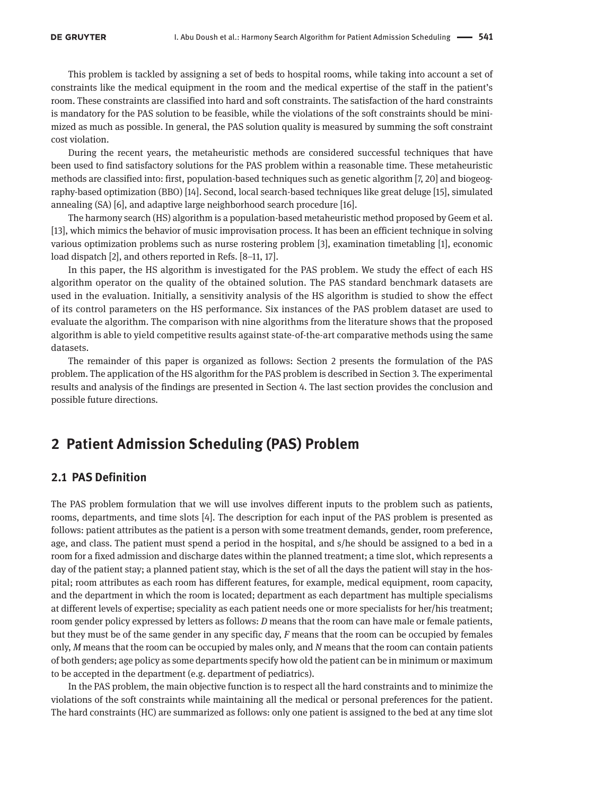This problem is tackled by assigning a set of beds to hospital rooms, while taking into account a set of constraints like the medical equipment in the room and the medical expertise of the staff in the patient's room. These constraints are classified into hard and soft constraints. The satisfaction of the hard constraints is mandatory for the PAS solution to be feasible, while the violations of the soft constraints should be minimized as much as possible. In general, the PAS solution quality is measured by summing the soft constraint cost violation.

During the recent years, the metaheuristic methods are considered successful techniques that have been used to find satisfactory solutions for the PAS problem within a reasonable time. These metaheuristic methods are classified into: first, population-based techniques such as genetic algorithm [7, 20] and biogeography-based optimization (BBO) [14]. Second, local search-based techniques like great deluge [15], simulated annealing (SA) [6], and adaptive large neighborhood search procedure [16].

The harmony search (HS) algorithm is a population-based metaheuristic method proposed by Geem et al. [13], which mimics the behavior of music improvisation process. It has been an efficient technique in solving various optimization problems such as nurse rostering problem [3], examination timetabling [1], economic load dispatch [2], and others reported in Refs. [8–11, 17].

In this paper, the HS algorithm is investigated for the PAS problem. We study the effect of each HS algorithm operator on the quality of the obtained solution. The PAS standard benchmark datasets are used in the evaluation. Initially, a sensitivity analysis of the HS algorithm is studied to show the effect of its control parameters on the HS performance. Six instances of the PAS problem dataset are used to evaluate the algorithm. The comparison with nine algorithms from the literature shows that the proposed algorithm is able to yield competitive results against state-of-the-art comparative methods using the same datasets.

The remainder of this paper is organized as follows: Section 2 presents the formulation of the PAS problem. The application of the HS algorithm for the PAS problem is described in Section 3. The experimental results and analysis of the findings are presented in Section 4. The last section provides the conclusion and possible future directions.

## **2 Patient Admission Scheduling (PAS) Problem**

#### **2.1 PAS Definition**

The PAS problem formulation that we will use involves different inputs to the problem such as patients, rooms, departments, and time slots [4]. The description for each input of the PAS problem is presented as follows: patient attributes as the patient is a person with some treatment demands, gender, room preference, age, and class. The patient must spend a period in the hospital, and s/he should be assigned to a bed in a room for a fixed admission and discharge dates within the planned treatment; a time slot, which represents a day of the patient stay; a planned patient stay, which is the set of all the days the patient will stay in the hospital; room attributes as each room has different features, for example, medical equipment, room capacity, and the department in which the room is located; department as each department has multiple specialisms at different levels of expertise; speciality as each patient needs one or more specialists for her/his treatment; room gender policy expressed by letters as follows: *D* means that the room can have male or female patients, but they must be of the same gender in any specific day, *F* means that the room can be occupied by females only, *M* means that the room can be occupied by males only, and *N* means that the room can contain patients of both genders; age policy as some departments specify how old the patient can be in minimum or maximum to be accepted in the department (e.g. department of pediatrics).

In the PAS problem, the main objective function is to respect all the hard constraints and to minimize the violations of the soft constraints while maintaining all the medical or personal preferences for the patient. The hard constraints (HC) are summarized as follows: only one patient is assigned to the bed at any time slot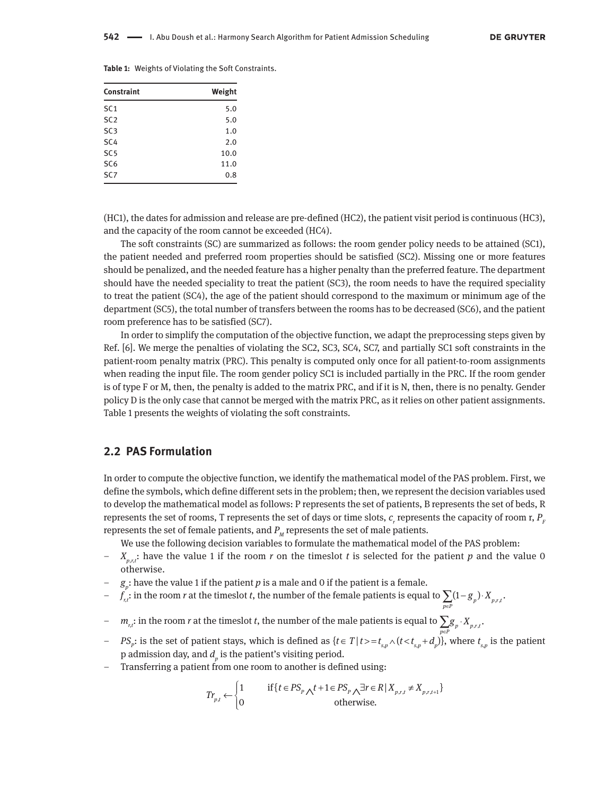|  |  |  |  | Table 1: Weights of Violating the Soft Constraints. |
|--|--|--|--|-----------------------------------------------------|
|--|--|--|--|-----------------------------------------------------|

| Constraint      | Weight |
|-----------------|--------|
| SC <sub>1</sub> | 5.0    |
| SC <sub>2</sub> | 5.0    |
| SC <sub>3</sub> | 1.0    |
| SC <sub>4</sub> | 2.0    |
| SC <sub>5</sub> | 10.0   |
| SC <sub>6</sub> | 11.0   |
| SC <sub>7</sub> | 0.8    |

(HC1), the dates for admission and release are pre-defined (HC2), the patient visit period is continuous (HC3), and the capacity of the room cannot be exceeded (HC4).

The soft constraints (SC) are summarized as follows: the room gender policy needs to be attained (SC1), the patient needed and preferred room properties should be satisfied (SC2). Missing one or more features should be penalized, and the needed feature has a higher penalty than the preferred feature. The department should have the needed speciality to treat the patient (SC3), the room needs to have the required speciality to treat the patient (SC4), the age of the patient should correspond to the maximum or minimum age of the department (SC5), the total number of transfers between the rooms has to be decreased (SC6), and the patient room preference has to be satisfied (SC7).

In order to simplify the computation of the objective function, we adapt the preprocessing steps given by Ref. [6]. We merge the penalties of violating the SC2, SC3, SC4, SC7, and partially SC1 soft constraints in the patient-room penalty matrix (PRC). This penalty is computed only once for all patient-to-room assignments when reading the input file. The room gender policy SC1 is included partially in the PRC. If the room gender is of type F or M, then, the penalty is added to the matrix PRC, and if it is N, then, there is no penalty. Gender policy D is the only case that cannot be merged with the matrix PRC, as it relies on other patient assignments. Table 1 presents the weights of violating the soft constraints.

#### **2.2 PAS Formulation**

In order to compute the objective function, we identify the mathematical model of the PAS problem. First, we define the symbols, which define different sets in the problem; then, we represent the decision variables used to develop the mathematical model as follows: P represents the set of patients, B represents the set of beds, R represents the set of rooms, T represents the set of days or time slots,  $c_{\scriptscriptstyle r}$  represents the capacity of room r,  $P_{\scriptscriptstyle F}$ represents the set of female patients, and  $P_M$  represents the set of male patients.

We use the following decision variables to formulate the mathematical model of the PAS problem:

- $\frac{X_{p,r,t}}{P}$  have the value 1 if the room *r* on the timeslot *t* is selected for the patient *p* and the value 0 otherwise.
- $g_p$ : have the value 1 if the patient *p* is a male and 0 if the patient is a female.
- *f r*,*t* : in the room *r* at the timeslot *t*, the number of the female patients is equal to  $\sum_{p \in P} (1 - g_p) \cdot X_{p,r,t}$ .  $g_{n}$ ) ·  $X$
- $-m_{n,t}$ : in the room *r* at the timeslot *t*, the number of the male patients is equal to  $\sum g_p \cdot X_{p,r,t}$ .
- $PS_p$ : is the set of patient stays, which is defined as  $\{t \in T \mid t > = t_{s,p} \wedge (t < t_{s,p} + d_p)\}\,$ , where  $t_{s,p}$  is the patient p admission day, and  $d_p$  is the patient's visiting period.
- Transferring a patient from one room to another is defined using:

$$
Tr_{p,t} \leftarrow \begin{cases} 1 & \text{if } \{t \in PS_p \wedge t + 1 \in PS_p \wedge \exists r \in R \mid X_{p,r,t} \neq X_{p,r,t+1} \} \\ 0 & \text{otherwise.} \end{cases}
$$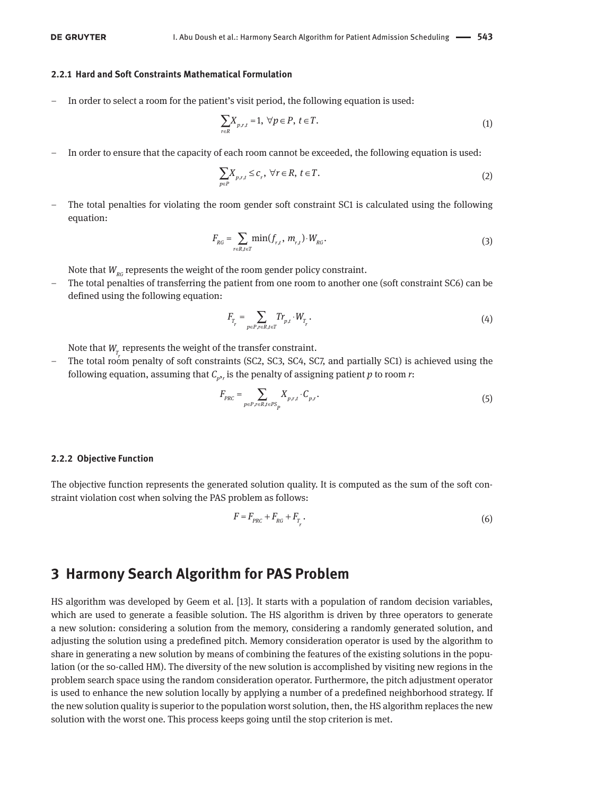#### **2.2.1 Hard and Soft Constraints Mathematical Formulation**

– In order to select a room for the patient's visit period, the following equation is used:

$$
\sum_{r \in R} X_{p,r,t} = 1, \ \forall p \in P, \ t \in T.
$$
\n<sup>(1)</sup>

– In order to ensure that the capacity of each room cannot be exceeded, the following equation is used:

$$
\sum_{p \in P} X_{p,r,t} \leq c_r, \ \forall r \in R, \ t \in T. \tag{2}
$$

 – The total penalties for violating the room gender soft constraint SC1 is calculated using the following equation:

$$
F_{_{RG}} = \sum_{r \in R, t \in T} \min(f_{r,t}, m_{r,t}) \cdot W_{_{RG}}.
$$
 (3)

Note that  $W_{RG}$  represents the weight of the room gender policy constraint.

 – The total penalties of transferring the patient from one room to another one (soft constraint SC6) can be defined using the following equation:

$$
F_{T_r} = \sum_{p \in P, r \in R, t \in T} Tr_{p,t} \cdot W_{T_r}.
$$
\n(4)

Note that  $W_{_{\mathcal{I}}_{_{\mathcal{L}}}}$  represents the weight of the transfer constraint.

– The total room penalty of soft constraints (SC2, SC3, SC4, SC7, and partially SC1) is achieved using the following equation, assuming that  $\mathcal{C}_{p^{\boldsymbol{\prime}},r}$  is the penalty of assigning patient  $p$  to room  $r$ :

$$
F_{PRC} = \sum_{p \in P, r \in R, t \in PS_p} X_{p,r,t} \cdot C_{p,r}.
$$
\n
$$
(5)
$$

#### **2.2.2 Objective Function**

The objective function represents the generated solution quality. It is computed as the sum of the soft constraint violation cost when solving the PAS problem as follows:

$$
F = F_{PRC} + F_{RG} + F_{T_r}.
$$
\n(6)

### **3 Harmony Search Algorithm for PAS Problem**

HS algorithm was developed by Geem et al. [13]. It starts with a population of random decision variables, which are used to generate a feasible solution. The HS algorithm is driven by three operators to generate a new solution: considering a solution from the memory, considering a randomly generated solution, and adjusting the solution using a predefined pitch. Memory consideration operator is used by the algorithm to share in generating a new solution by means of combining the features of the existing solutions in the population (or the so-called HM). The diversity of the new solution is accomplished by visiting new regions in the problem search space using the random consideration operator. Furthermore, the pitch adjustment operator is used to enhance the new solution locally by applying a number of a predefined neighborhood strategy. If the new solution quality is superior to the population worst solution, then, the HS algorithm replaces the new solution with the worst one. This process keeps going until the stop criterion is met.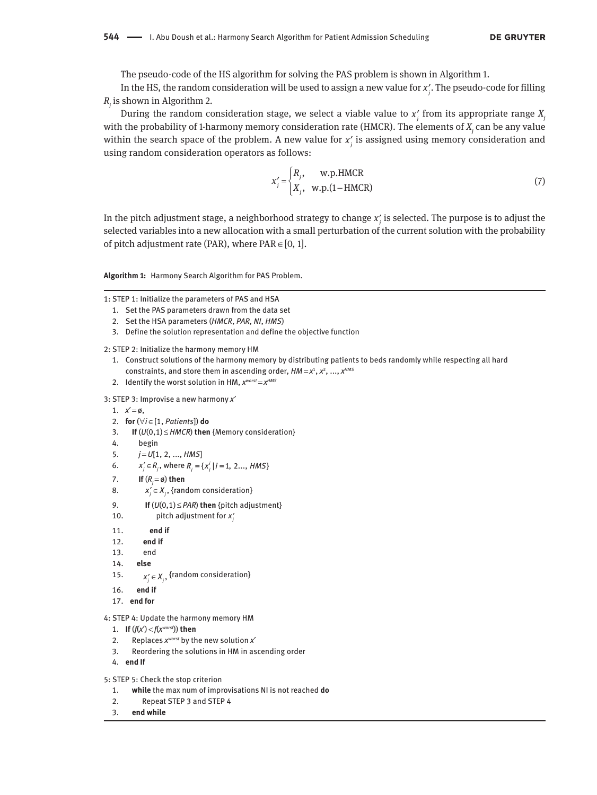The pseudo-code of the HS algorithm for solving the PAS problem is shown in Algorithm 1.

In the HS, the random consideration will be used to assign a new value for  $x'_j$ . The pseudo-code for filling *Rj* is shown in Algorithm 2.

During the random consideration stage, we select a viable value to  $x_j'$  from its appropriate range  $X_j$ with the probability of 1-harmony memory consideration rate (HMCR). The elements of  $X_{\overline{\mathfrak j}}$  can be any value within the search space of the problem. A new value for  $x'_j$  is assigned using memory consideration and using random consideration operators as follows:

$$
x'_{j} =\begin{cases} R_{j}, & \text{w.p.} \text{HMCR} \\ X_{j}, & \text{w.p.} (1-\text{HMCR}) \end{cases}
$$
 (7)

In the pitch adjustment stage, a neighborhood strategy to change  $x_j'$  is selected. The purpose is to adjust the selected variables into a new allocation with a small perturbation of the current solution with the probability of pitch adjustment rate (PAR), where  $PAR \in [0, 1]$ .

**Algorithm 1:** Harmony Search Algorithm for PAS Problem.

1: STEP 1: Initialize the parameters of PAS and HSA

- 1. Set the PAS parameters drawn from the data set
- 2. Set the HSA parameters (*HMCR*, *PAR*, *NI*, *HMS*)
- 3. Define the solution representation and define the objective function

2: STEP 2: Initialize the harmony memory HM

- 1. Construct solutions of the harmony memory by distributing patients to beds randomly while respecting all hard constraints, and store them in ascending order,  $HM = x^1, x^2, ..., x^{HMS}$
- 2. Identify the worst solution in HM,  $x^{worst} = x^{HMS}$

3: STEP 3: Improvise a new harmony *x*′

- 1.  $x' = \emptyset$ ,
- 2. **for** (∀*i* ∈[1, *Patients*]) **do**
- 3. **If** (*U*(0,1) ≤ *HMCR*) **then** {Memory consideration}
- 4. begin
- 5.  $j = U[1, 2, ..., HMS]$
- 6.  $x'_{j} \in R_{j}$ , where  $R_{j} = \{x'_{j} | i = 1, 2..., HMS\}$
- 7. **If**  $(R_j = \emptyset)$  then
- 8.  $x'_j \in X_j$ , {random consideration}
	- 9. **If**  $(U(0,1) \leq PAR)$  then {pitch adjustment}
- 10.  $\qquad \qquad$  pitch adjustment for  $x'_j$ 
	- 11. **end if**
	- 12. **end if**
	- 13. end
	- 14. **else**
- 15.  $x'_{j} \in X_{j}$ , {random consideration}
	- 16. **end if**
	- 17. **end for**
- 4: STEP 4: Update the harmony memory HM
- 1. **If**  $(f(x') < f(x^{worst}))$  then
- 2. Replaces *x worst* by the new solution *x*′
	- 3. Reordering the solutions in HM in ascending order
- 4. **end If**
- 5: STEP 5: Check the stop criterion
	- 1. **while** the max num of improvisations NI is not reached **do**
	- 2. Repeat STEP 3 and STEP 4
- 3. **end while**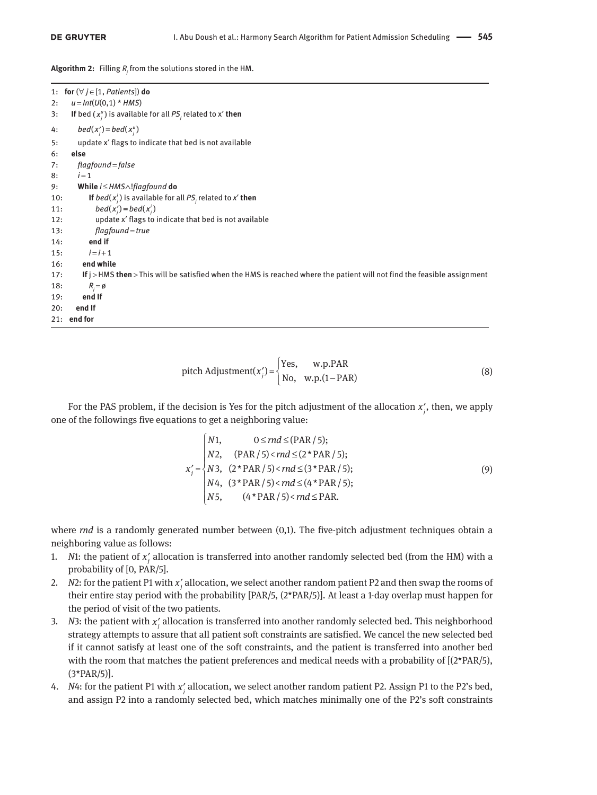**Algorithm 2:** Filling *R<sup>j</sup>* from the solutions stored in the HM.

|     | 1: for $(\forall j \in [1, \textit{ Patients}])$ do                                                                     |
|-----|-------------------------------------------------------------------------------------------------------------------------|
|     | 2: $u = Int(U(0, 1) * HMS)$                                                                                             |
| 3:  | If bed $(x_i^u)$ is available for all $PS_i$ related to x' then                                                         |
| 4:  | bed( $x'_i$ ) = bed( $x''_i$ )                                                                                          |
| 5:  | update x' flags to indicate that bed is not available                                                                   |
| 6:  | else                                                                                                                    |
| 7:  | flagfound=false                                                                                                         |
| 8:  | $i=1$                                                                                                                   |
| 9:  | While $i \leq HMS \wedge !flagfound$ do                                                                                 |
| 10: | If $bed(x_i^i)$ is available for all $PS_i$ related to x' then                                                          |
| 11: | $bed(x'_i) = bed(x'_i)$                                                                                                 |
| 12: | update x' flags to indicate that bed is not available                                                                   |
| 13: | flagfound = true                                                                                                        |
| 14: | end if                                                                                                                  |
| 15: | $i = i + 1$                                                                                                             |
| 16: | end while                                                                                                               |
| 17: | If j >HMS then > This will be satisfied when the HMS is reached where the patient will not find the feasible assignment |
| 18: | $R_i = \emptyset$                                                                                                       |
| 19: | end If                                                                                                                  |
| 20: | end If                                                                                                                  |
|     | $21:$ end for                                                                                                           |

pitch Adjustment
$$
(x'_j)
$$
 =  $\begin{cases} Yes, & w.p.PAR \\ No, & w.p.(1-PAR) \end{cases}$  (8)

For the PAS problem, if the decision is Yes for the pitch adjustment of the allocation  $x'_{j}$ , then, we apply one of the followings five equations to get a neighboring value:

$$
X'_{j} =\n\begin{cases}\nN1, & 0 \leq md \leq (PAR / 5); \\
N2, & (PAR / 5) < md \leq (2 * PAR / 5); \\
N3, & (2 * PAR / 5) < md \leq (3 * PAR / 5); \\
N4, & (3 * PAR / 5) < md \leq (4 * PAR / 5); \\
N5, & (4 * PAR / 5) < md \leq PAR.\n\end{cases}\n\tag{9}
$$

where *rnd* is a randomly generated number between (0,1). The five-pitch adjustment techniques obtain a neighboring value as follows:

- 1. *N*1: the patient of  $x'_j$  allocation is transferred into another randomly selected bed (from the HM) with a probability of [0, PAR/5].
- 2. *N*2: for the patient P1 with  $x'_j$  allocation, we select another random patient P2 and then swap the rooms of their entire stay period with the probability [PAR/5, (2\*PAR/5)]. At least a 1-day overlap must happen for the period of visit of the two patients.
- 3. *N*3: the patient with  $x'_j$  allocation is transferred into another randomly selected bed. This neighborhood strategy attempts to assure that all patient soft constraints are satisfied. We cancel the new selected bed if it cannot satisfy at least one of the soft constraints, and the patient is transferred into another bed with the room that matches the patient preferences and medical needs with a probability of  $[(2*PAR/5)]$ , (3\*PAR/5)].
- 4. *N*4: for the patient P1 with  $x'_j$  allocation, we select another random patient P2. Assign P1 to the P2's bed, and assign P2 into a randomly selected bed, which matches minimally one of the P2's soft constraints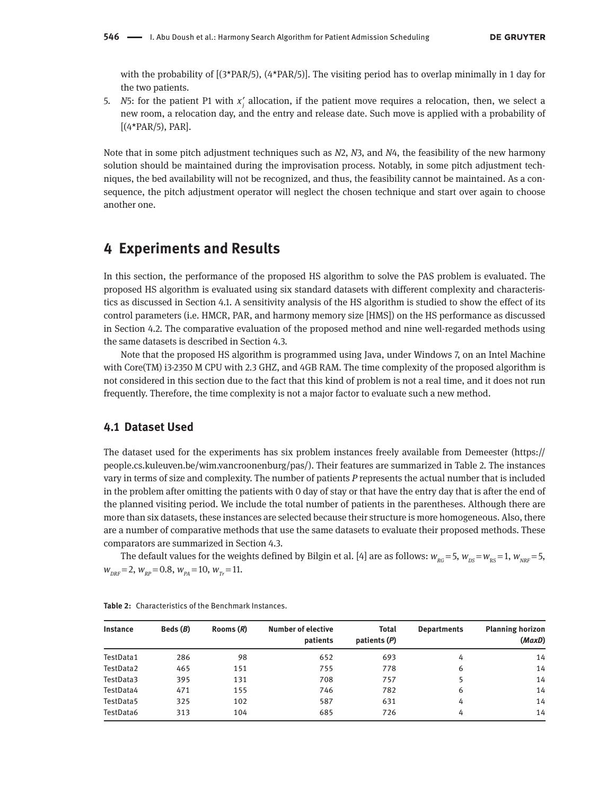with the probability of  $[(3*PAR/5), (4*PAR/5)]$ . The visiting period has to overlap minimally in 1 day for the two patients.

5. *N*5: for the patient P1 with  $x'_j$  allocation, if the patient move requires a relocation, then, we select a new room, a relocation day, and the entry and release date. Such move is applied with a probability of  $[(4*PAR/5), PAR]$ .

Note that in some pitch adjustment techniques such as *N*2, *N*3, and *N*4, the feasibility of the new harmony solution should be maintained during the improvisation process. Notably, in some pitch adjustment techniques, the bed availability will not be recognized, and thus, the feasibility cannot be maintained. As a consequence, the pitch adjustment operator will neglect the chosen technique and start over again to choose another one.

# **4 Experiments and Results**

In this section, the performance of the proposed HS algorithm to solve the PAS problem is evaluated. The proposed HS algorithm is evaluated using six standard datasets with different complexity and characteristics as discussed in Section 4.1. A sensitivity analysis of the HS algorithm is studied to show the effect of its control parameters (i.e. HMCR, PAR, and harmony memory size [HMS]) on the HS performance as discussed in Section 4.2. The comparative evaluation of the proposed method and nine well-regarded methods using the same datasets is described in Section 4.3.

Note that the proposed HS algorithm is programmed using Java, under Windows 7, on an Intel Machine with Core(TM) i3-2350 M CPU with 2.3 GHZ, and 4GB RAM. The time complexity of the proposed algorithm is not considered in this section due to the fact that this kind of problem is not a real time, and it does not run frequently. Therefore, the time complexity is not a major factor to evaluate such a new method.

#### **4.1 Dataset Used**

The dataset used for the experiments has six problem instances freely available from Demeester (https:// people.cs.kuleuven.be/wim.vancroonenburg/pas/). Their features are summarized in Table 2. The instances vary in terms of size and complexity. The number of patients *P* represents the actual number that is included in the problem after omitting the patients with 0 day of stay or that have the entry day that is after the end of the planned visiting period. We include the total number of patients in the parentheses. Although there are more than six datasets, these instances are selected because their structure is more homogeneous. Also, there are a number of comparative methods that use the same datasets to evaluate their proposed methods. These comparators are summarized in Section 4.3.

The default values for the weights defined by Bilgin et al. [4] are as follows:  $w_{RG} = 5$ ,  $w_{DS} = w_{RS} = 1$ ,  $w_{NRF} = 5$ ,  $W_{DRF}$  = 2,  $W_{RP}$  = 0.8,  $W_{PA}$  = 10,  $W_{Tr}$  = 11.

| <b>Instance</b> | Beds $(B)$ | Rooms $(R)$ | <b>Number of elective</b><br>patients | Total<br>patients $(P)$ | <b>Departments</b> | <b>Planning horizon</b><br>(MaxD) |
|-----------------|------------|-------------|---------------------------------------|-------------------------|--------------------|-----------------------------------|
| TestData1       | 286        | 98          | 652                                   | 693                     | 4                  | 14                                |
| TestData2       | 465        | 151         | 755                                   | 778                     | 6                  | 14                                |
| TestData3       | 395        | 131         | 708                                   | 757                     |                    | 14                                |
| TestData4       | 471        | 155         | 746                                   | 782                     | 6                  | 14                                |
| TestData5       | 325        | 102         | 587                                   | 631                     | 4                  | 14                                |
| TestData6       | 313        | 104         | 685                                   | 726                     | 4                  | 14                                |

| Table 2: Characteristics of the Benchmark Instances. |
|------------------------------------------------------|
|------------------------------------------------------|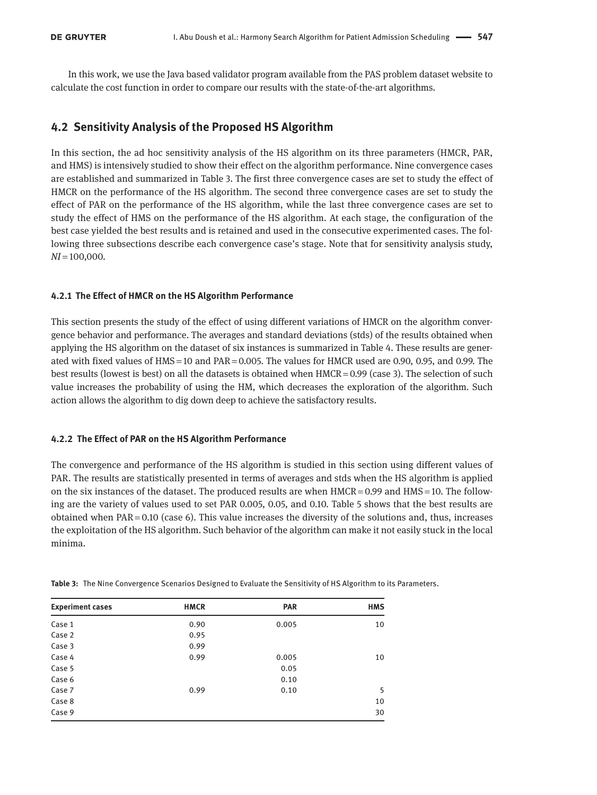In this work, we use the Java based validator program available from the PAS problem dataset website to calculate the cost function in order to compare our results with the state-of-the-art algorithms.

#### **4.2 Sensitivity Analysis of the Proposed HS Algorithm**

In this section, the ad hoc sensitivity analysis of the HS algorithm on its three parameters (HMCR, PAR, and HMS) is intensively studied to show their effect on the algorithm performance. Nine convergence cases are established and summarized in Table 3. The first three convergence cases are set to study the effect of HMCR on the performance of the HS algorithm. The second three convergence cases are set to study the effect of PAR on the performance of the HS algorithm, while the last three convergence cases are set to study the effect of HMS on the performance of the HS algorithm. At each stage, the configuration of the best case yielded the best results and is retained and used in the consecutive experimented cases. The following three subsections describe each convergence case's stage. Note that for sensitivity analysis study, *NI* = 100,000.

#### **4.2.1 The Effect of HMCR on the HS Algorithm Performance**

This section presents the study of the effect of using different variations of HMCR on the algorithm convergence behavior and performance. The averages and standard deviations (stds) of the results obtained when applying the HS algorithm on the dataset of six instances is summarized in Table 4. These results are generated with fixed values of HMS = 10 and PAR = 0.005. The values for HMCR used are 0.90, 0.95, and 0.99. The best results (lowest is best) on all the datasets is obtained when HMCR = 0.99 (case 3). The selection of such value increases the probability of using the HM, which decreases the exploration of the algorithm. Such action allows the algorithm to dig down deep to achieve the satisfactory results.

#### **4.2.2 The Effect of PAR on the HS Algorithm Performance**

The convergence and performance of the HS algorithm is studied in this section using different values of PAR. The results are statistically presented in terms of averages and stds when the HS algorithm is applied on the six instances of the dataset. The produced results are when  $HMCR = 0.99$  and  $HMS = 10$ . The following are the variety of values used to set PAR 0.005, 0.05, and 0.10. Table 5 shows that the best results are obtained when PAR = 0.10 (case 6). This value increases the diversity of the solutions and, thus, increases the exploitation of the HS algorithm. Such behavior of the algorithm can make it not easily stuck in the local minima.

| <b>Experiment cases</b> | <b>HMCR</b> | <b>PAR</b> | <b>HMS</b> |
|-------------------------|-------------|------------|------------|
| Case 1                  | 0.90        | 0.005      | 10         |
| Case 2                  | 0.95        |            |            |
| Case 3                  | 0.99        |            |            |
| Case 4                  | 0.99        | 0.005      | 10         |
| Case 5                  |             | 0.05       |            |
| Case 6                  |             | 0.10       |            |
| Case 7                  | 0.99        | 0.10       | 5          |
| Case 8                  |             |            | 10         |
| Case 9                  |             |            | 30         |

**Table 3:** The Nine Convergence Scenarios Designed to Evaluate the Sensitivity of HS Algorithm to its Parameters.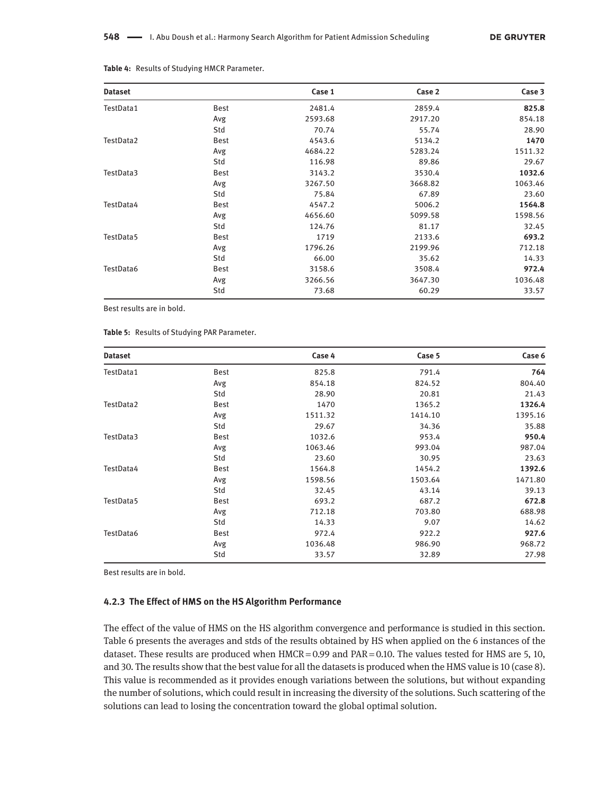| <b>Dataset</b> |      | Case 1  | Case 2  | Case 3  |
|----------------|------|---------|---------|---------|
| TestData1      | Best | 2481.4  | 2859.4  | 825.8   |
|                | Avg  | 2593.68 | 2917.20 | 854.18  |
|                | Std  | 70.74   | 55.74   | 28.90   |
| TestData2      | Best | 4543.6  | 5134.2  | 1470    |
|                | Avg  | 4684.22 | 5283.24 | 1511.32 |
|                | Std  | 116.98  | 89.86   | 29.67   |
| TestData3      | Best | 3143.2  | 3530.4  | 1032.6  |
|                | Avg  | 3267.50 | 3668.82 | 1063.46 |
|                | Std  | 75.84   | 67.89   | 23.60   |
| TestData4      | Best | 4547.2  | 5006.2  | 1564.8  |
|                | Avg  | 4656.60 | 5099.58 | 1598.56 |
|                | Std  | 124.76  | 81.17   | 32.45   |
| TestData5      | Best | 1719    | 2133.6  | 693.2   |
|                | Avg  | 1796.26 | 2199.96 | 712.18  |
|                | Std  | 66.00   | 35.62   | 14.33   |
| TestData6      | Best | 3158.6  | 3508.4  | 972.4   |
|                | Avg  | 3266.56 | 3647.30 | 1036.48 |
|                | Std  | 73.68   | 60.29   | 33.57   |

**Table 4:** Results of Studying HMCR Parameter.

Best results are in bold.

| <b>Dataset</b> |      | Case 4  | Case 5  | Case 6  |
|----------------|------|---------|---------|---------|
| TestData1      | Best | 825.8   | 791.4   | 764     |
|                | Avg  | 854.18  | 824.52  | 804.40  |
|                | Std  | 28.90   | 20.81   | 21.43   |
| TestData2      | Best | 1470    | 1365.2  | 1326.4  |
|                | Avg  | 1511.32 | 1414.10 | 1395.16 |
|                | Std  | 29.67   | 34.36   | 35.88   |
| TestData3      | Best | 1032.6  | 953.4   | 950.4   |
|                | Avg  | 1063.46 | 993.04  | 987.04  |
|                | Std  | 23.60   | 30.95   | 23.63   |
| TestData4      | Best | 1564.8  | 1454.2  | 1392.6  |
|                | Avg  | 1598.56 | 1503.64 | 1471.80 |
|                | Std  | 32.45   | 43.14   | 39.13   |
| TestData5      | Best | 693.2   | 687.2   | 672.8   |
|                | Avg  | 712.18  | 703.80  | 688.98  |
|                | Std  | 14.33   | 9.07    | 14.62   |
| TestData6      | Best | 972.4   | 922.2   | 927.6   |
|                | Avg  | 1036.48 | 986.90  | 968.72  |
|                | Std  | 33.57   | 32.89   | 27.98   |

Best results are in bold.

#### **4.2.3 The Effect of HMS on the HS Algorithm Performance**

The effect of the value of HMS on the HS algorithm convergence and performance is studied in this section. Table 6 presents the averages and stds of the results obtained by HS when applied on the 6 instances of the dataset. These results are produced when HMCR = 0.99 and PAR = 0.10. The values tested for HMS are 5, 10, and 30. The results show that the best value for all the datasets is produced when the HMS value is 10 (case 8). This value is recommended as it provides enough variations between the solutions, but without expanding the number of solutions, which could result in increasing the diversity of the solutions. Such scattering of the solutions can lead to losing the concentration toward the global optimal solution.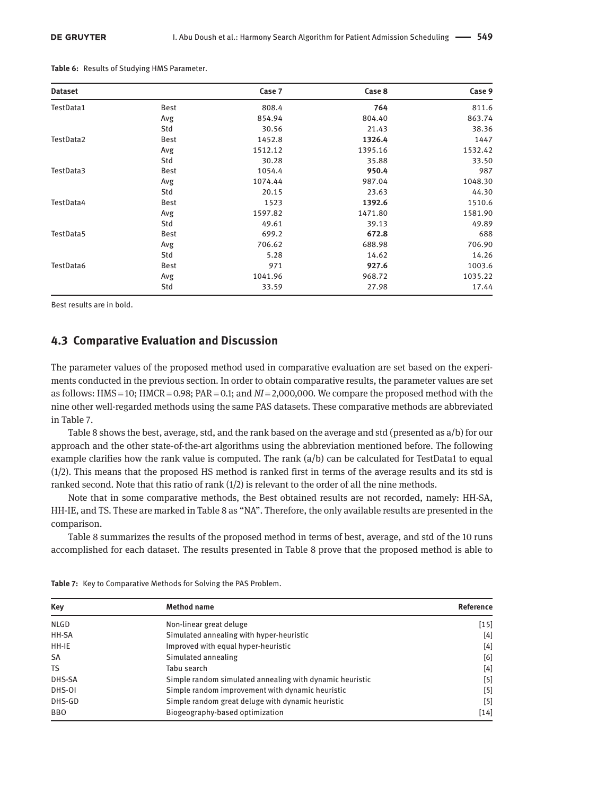| <b>Dataset</b> |      | Case 7  | Case 8  | Case 9  |
|----------------|------|---------|---------|---------|
| TestData1      | Best | 808.4   | 764     | 811.6   |
|                | Avg  | 854.94  | 804.40  | 863.74  |
|                | Std  | 30.56   | 21.43   | 38.36   |
| TestData2      | Best | 1452.8  | 1326.4  | 1447    |
|                | Avg  | 1512.12 | 1395.16 | 1532.42 |
|                | Std  | 30.28   | 35.88   | 33.50   |
| TestData3      | Best | 1054.4  | 950.4   | 987     |
|                | Avg  | 1074.44 | 987.04  | 1048.30 |
|                | Std  | 20.15   | 23.63   | 44.30   |
| TestData4      | Best | 1523    | 1392.6  | 1510.6  |
|                | Avg  | 1597.82 | 1471.80 | 1581.90 |
|                | Std  | 49.61   | 39.13   | 49.89   |
| TestData5      | Best | 699.2   | 672.8   | 688     |
|                | Avg  | 706.62  | 688.98  | 706.90  |
|                | Std  | 5.28    | 14.62   | 14.26   |
| TestData6      | Best | 971     | 927.6   | 1003.6  |
|                | Avg  | 1041.96 | 968.72  | 1035.22 |
|                | Std  | 33.59   | 27.98   | 17.44   |

**Table 6:** Results of Studying HMS Parameter.

Best results are in bold.

#### **4.3 Comparative Evaluation and Discussion**

The parameter values of the proposed method used in comparative evaluation are set based on the experiments conducted in the previous section. In order to obtain comparative results, the parameter values are set as follows: HMS = 10; HMCR = 0.98; PAR = 0.1; and *NI* = 2,000,000. We compare the proposed method with the nine other well-regarded methods using the same PAS datasets. These comparative methods are abbreviated in Table 7.

Table 8 shows the best, average, std, and the rank based on the average and std (presented as a/b) for our approach and the other state-of-the-art algorithms using the abbreviation mentioned before. The following example clarifies how the rank value is computed. The rank (a/b) can be calculated for TestData1 to equal (1/2). This means that the proposed HS method is ranked first in terms of the average results and its std is ranked second. Note that this ratio of rank (1/2) is relevant to the order of all the nine methods.

Note that in some comparative methods, the Best obtained results are not recorded, namely: HH-SA, HH-IE, and TS. These are marked in Table 8 as "NA". Therefore, the only available results are presented in the comparison.

Table 8 summarizes the results of the proposed method in terms of best, average, and std of the 10 runs accomplished for each dataset. The results presented in Table 8 prove that the proposed method is able to

| Key         | <b>Method name</b>                                       | Reference |
|-------------|----------------------------------------------------------|-----------|
| <b>NLGD</b> | Non-linear great deluge                                  | $[15]$    |
| HH-SA       | Simulated annealing with hyper-heuristic                 | [4]       |
| HH-IE       | Improved with equal hyper-heuristic                      | $[4]$     |
| <b>SA</b>   | Simulated annealing                                      | [6]       |
| <b>TS</b>   | Tabu search                                              | $[4]$     |
| DHS-SA      | Simple random simulated annealing with dynamic heuristic | $[5]$     |
| DHS-OI      | Simple random improvement with dynamic heuristic         | [5]       |
| DHS-GD      | Simple random great deluge with dynamic heuristic        | $[5]$     |
| <b>BBO</b>  | Biogeography-based optimization                          | $[14]$    |

**Table 7:** Key to Comparative Methods for Solving the PAS Problem.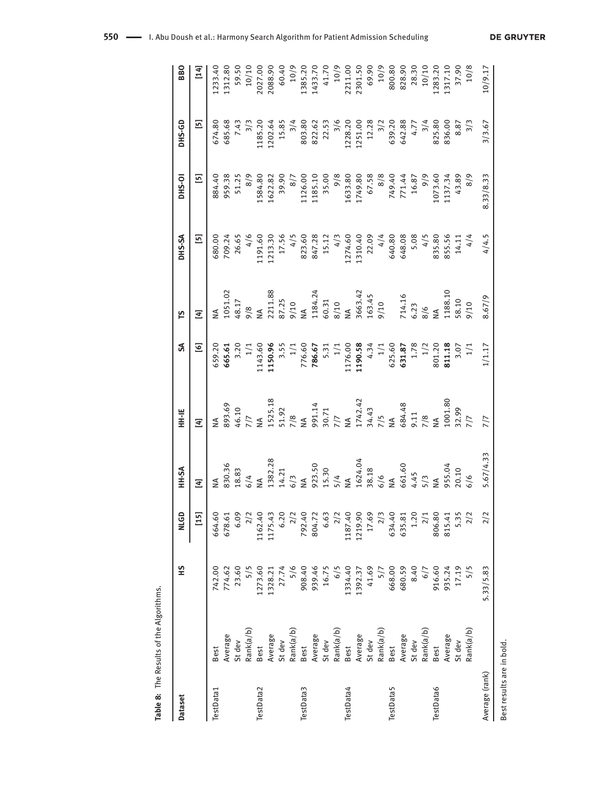|                           | Table 8: The Results of the Algorithms |           |             |                  |                                    |                                         |                                      |                    |                                          |         |                 |
|---------------------------|----------------------------------------|-----------|-------------|------------------|------------------------------------|-----------------------------------------|--------------------------------------|--------------------|------------------------------------------|---------|-----------------|
| <b>Dataset</b>            |                                        | 5H        | <b>NLGD</b> | HH-SA            | HH HE                              | ส                                       | ۴                                    | DHS-SA             | DHS-OI                                   | DHS-GD  | <b>BBO</b>      |
|                           |                                        |           | $[15]$      | 国                | $\Xi$                              | ତ୍ର                                     | 国                                    | 5                  | $\begin{array}{c} \boxed{5} \end{array}$ | 5]      | $\overline{14}$ |
| TestData1                 | Best                                   | 742.00    | 664.60      | ≸                | $\leq$                             | 659.20                                  | ≸                                    | 680.00             | 884.40                                   | 674.80  | 1233.40         |
|                           | Average                                | 774.62    | 678.61      | 830.36           | 893.69                             | 665.61                                  | 1051.02                              | 709.24             | 959.38                                   | 685.68  | 1312.80         |
|                           | St dev                                 | 23.60     | 6.09        | 18.83            | 46.10                              | 3.20                                    | 48.17                                | 26.65              | 51.25                                    | 7.43    | 59.50           |
|                           | Rank(a/b)                              | 5/5       | 2/2         | 6/4              | 7/7                                | 1/1                                     | 8/6                                  | 4/6                | 8/9                                      | 3/3     | 10/10           |
| TestData2                 | Best                                   | 1273.60   | 1162.40     | ≸                | Š                                  | 1143.60                                 |                                      | 1191.60            | 1584.80                                  | 1185.20 | 2027.00         |
|                           | Average                                | 1328.21   | 1175.43     | 1382.28          | 1525.18                            | 1150.96                                 | 2211.88                              | 1213.30            | 1622.82                                  | 1202.64 | 2088.90         |
|                           | St dev                                 | 27.74     | 6.20        | 14.21            |                                    |                                         |                                      | 17.56              | 39.90                                    | 15.85   | 60.40           |
|                           | Rank(a/b)                              | 5/6       | 2/2         | 6/3              | $\frac{51.92}{7/8}$                | $3.55$<br>$1/1$                         | 87.25<br>9/10                        | 4/5                | $\frac{8}{7}$                            | 3/4     | 10/9            |
| TestData3                 | Best                                   | 908.40    | 792.40      | Š                |                                    | 776.60<br>786.67                        | NA<br>1184.24<br>60.31<br>8/10<br>NA |                    | 1126.00                                  | 803.80  | 1385.20         |
|                           | Average                                | 939.46    | 804.72      | 923.50           | NA<br>991.14<br>30.71<br>7/7<br>NA |                                         |                                      | 823.60<br>847.28   | 1185.10                                  | 822.62  | 1433.70         |
|                           | St dev                                 | 16.75     | 6.63        | 15.30            |                                    | 5.31                                    |                                      | 15.12              | 35.00                                    | 22.53   | 41.70           |
|                           | Rank(a/b)                              | 6/5       | 2/2         | 5/4              |                                    |                                         |                                      | 4/3                | 9/8                                      | 3/6     | 10/9            |
| TestData4                 | Best                                   | 1334.40   | 1187.40     | $\leq$           |                                    |                                         |                                      |                    |                                          | 1228.20 | 2211.00         |
|                           | Average                                | 1392.37   | 1219.90     | 1624.04          | 1742.42                            | $1/1$<br>1176.00<br>1190.58             | 3663.42<br>163.45<br>9/10            | 1274.60<br>1310.40 | 1633.80<br>1749.80                       | 1251.00 | 2301.50         |
|                           | St dev                                 | 41.69     | 17.69       |                  |                                    |                                         |                                      | 22.09              | 67.58                                    | 12.28   | 69.90           |
|                           | Rank(a/b)                              | 5/7       | 2/3         | $38.18$<br>$6/6$ | 34.43<br>7/5<br>NA                 | $4.34$<br>$1/1$                         |                                      | 4/4                | 8/8                                      | 3/2     | 10/9            |
| TestData5                 | Best                                   | 668.00    | 634.40      | $\sum_{i=1}^{n}$ |                                    | 625.60                                  |                                      | 640.80             | 749.40<br>771.44                         | 639.20  | 800.80          |
|                           | Average                                | 680.59    | 635.81      | 661.60           | 684.48                             | 631.87                                  |                                      | 648.08             |                                          | 642.88  | 828.90          |
|                           | St dev                                 | 8.40      | 1.20        | 4.45             |                                    | 1.78                                    |                                      | 5.08               | 16.87                                    | 4.77    | 28.30           |
|                           | Rank(a/b)                              | 6/7       | 2/1         | $\frac{2}{5}$    | $\frac{8}{11}$                     | 1/2                                     | 714.16<br>6.23<br>8/6                | 4/5                | 1073.60                                  | 3/4     | 10/10           |
| TestData6                 | Best                                   | 916.60    | 806.80      |                  | $\leq$                             |                                         |                                      | 835.80             |                                          | 825.80  | 1283.20         |
|                           | Average                                | 935.24    | 815.41      |                  | 1001.80<br>32.99                   | 801.20<br><b>811.18</b><br>3.07<br>3.07 | 1188.10                              | 855.56<br>14.11    | 1137.34<br>43.89                         | 836.00  | 1317.10         |
|                           | St dev                                 | 17.19     | 5.35        | 955.04<br>20.10  |                                    |                                         | 58.10<br>9/10                        |                    |                                          | 8.87    | 37.90           |
|                           | Rank(a/b)                              | 5/5       | 2/2         | 6/6              | 1/7                                |                                         |                                      | 4/4                | 8/9                                      | 3/3     | 10/8            |
| Average (rank)            |                                        | 5.33/5.83 | 2/2         | 5.67/4.33        | 7/7                                | 1/1.17                                  | 8.67/9                               | 4/4.5              | 8.33/8.33                                | 3/3.67  | 10/9.17         |
| Best results are in bold. |                                        |           |             |                  |                                    |                                         |                                      |                    |                                          |         |                 |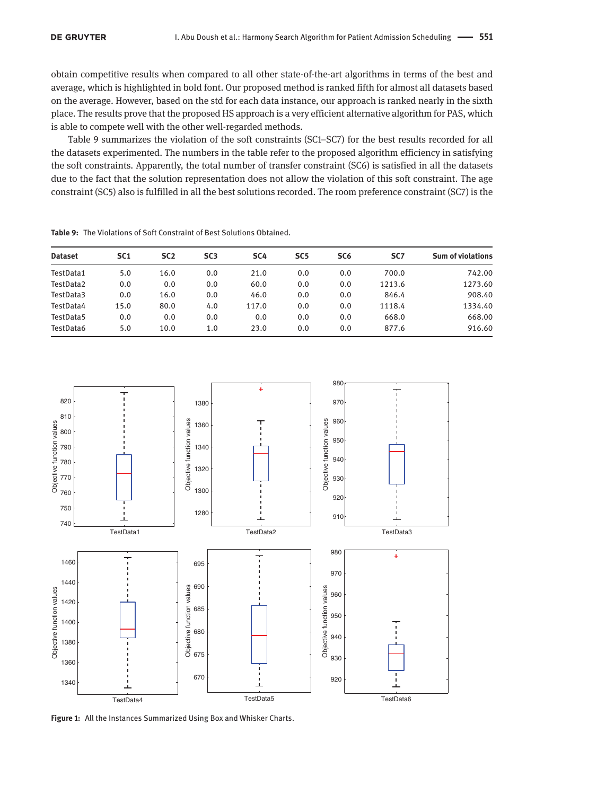obtain competitive results when compared to all other state-of-the-art algorithms in terms of the best and average, which is highlighted in bold font. Our proposed method is ranked fifth for almost all datasets based on the average. However, based on the std for each data instance, our approach is ranked nearly in the sixth place. The results prove that the proposed HS approach is a very efficient alternative algorithm for PAS, which is able to compete well with the other well-regarded methods.

Table 9 summarizes the violation of the soft constraints (SC1–SC7) for the best results recorded for all the datasets experimented. The numbers in the table refer to the proposed algorithm efficiency in satisfying the soft constraints. Apparently, the total number of transfer constraint (SC6) is satisfied in all the datasets due to the fact that the solution representation does not allow the violation of this soft constraint. The age constraint (SC5) also is fulfilled in all the best solutions recorded. The room preference constraint (SC7) is the

| <b>Dataset</b> | SC <sub>1</sub> | SC <sub>2</sub> | SC <sub>3</sub> | SC <sub>4</sub> | SC <sub>5</sub> | SC <sub>6</sub> | SC <sub>7</sub> | <b>Sum of violations</b> |
|----------------|-----------------|-----------------|-----------------|-----------------|-----------------|-----------------|-----------------|--------------------------|
| TestData1      | 5.0             | 16.0            | 0.0             | 21.0            | 0.0             | 0.0             | 700.0           | 742.00                   |
| TestData2      | 0.0             | 0.0             | 0.0             | 60.0            | 0.0             | 0.0             | 1213.6          | 1273.60                  |
| TestData3      | 0.0             | 16.0            | 0.0             | 46.0            | 0.0             | 0.0             | 846.4           | 908.40                   |
| TestData4      | 15.0            | 80.0            | 4.0             | 117.0           | 0.0             | 0.0             | 1118.4          | 1334.40                  |
| TestData5      | 0.0             | 0.0             | 0.0             | 0.0             | 0.0             | 0.0             | 668.0           | 668.00                   |
| TestData6      | 5.0             | 10.0            | 1.0             | 23.0            | 0.0             | 0.0             | 877.6           | 916.60                   |

**Table 9:** The Violations of Soft Constraint of Best Solutions Obtained.



**Figure 1:** All the Instances Summarized Using Box and Whisker Charts.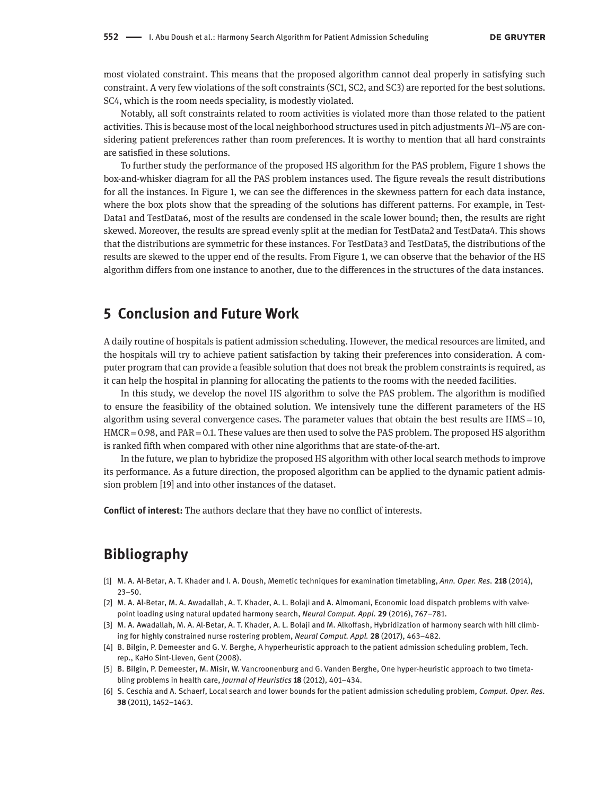most violated constraint. This means that the proposed algorithm cannot deal properly in satisfying such constraint. A very few violations of the soft constraints (SC1, SC2, and SC3) are reported for the best solutions. SC4, which is the room needs speciality, is modestly violated.

Notably, all soft constraints related to room activities is violated more than those related to the patient activities. This is because most of the local neighborhood structures used in pitch adjustments *N*1–*N*5 are considering patient preferences rather than room preferences. It is worthy to mention that all hard constraints are satisfied in these solutions.

To further study the performance of the proposed HS algorithm for the PAS problem, Figure 1 shows the box-and-whisker diagram for all the PAS problem instances used. The figure reveals the result distributions for all the instances. In Figure 1, we can see the differences in the skewness pattern for each data instance, where the box plots show that the spreading of the solutions has different patterns. For example, in Test-Data1 and TestData6, most of the results are condensed in the scale lower bound; then, the results are right skewed. Moreover, the results are spread evenly split at the median for TestData2 and TestData4. This shows that the distributions are symmetric for these instances. For TestData3 and TestData5, the distributions of the results are skewed to the upper end of the results. From Figure 1, we can observe that the behavior of the HS algorithm differs from one instance to another, due to the differences in the structures of the data instances.

### **5 Conclusion and Future Work**

A daily routine of hospitals is patient admission scheduling. However, the medical resources are limited, and the hospitals will try to achieve patient satisfaction by taking their preferences into consideration. A computer program that can provide a feasible solution that does not break the problem constraints is required, as it can help the hospital in planning for allocating the patients to the rooms with the needed facilities.

In this study, we develop the novel HS algorithm to solve the PAS problem. The algorithm is modified to ensure the feasibility of the obtained solution. We intensively tune the different parameters of the HS algorithm using several convergence cases. The parameter values that obtain the best results are HMS = 10, HMCR = 0.98, and PAR = 0.1. These values are then used to solve the PAS problem. The proposed HS algorithm is ranked fifth when compared with other nine algorithms that are state-of-the-art.

In the future, we plan to hybridize the proposed HS algorithm with other local search methods to improve its performance. As a future direction, the proposed algorithm can be applied to the dynamic patient admission problem [19] and into other instances of the dataset.

**Conflict of interest:** The authors declare that they have no conflict of interests.

### **Bibliography**

- [1] M. A. Al-Betar, A. T. Khader and I. A. Doush, Memetic techniques for examination timetabling, *Ann. Oper. Res.* **218** (2014), 23–50.
- [2] M. A. Al-Betar, M. A. Awadallah, A. T. Khader, A. L. Bolaji and A. Almomani, Economic load dispatch problems with valvepoint loading using natural updated harmony search, *Neural Comput. Appl.* **29** (2016), 767–781.
- [3] M. A. Awadallah, M. A. Al-Betar, A. T. Khader, A. L. Bolaji and M. Alkoffash, Hybridization of harmony search with hill climbing for highly constrained nurse rostering problem, *Neural Comput. Appl.* **28** (2017), 463–482.
- [4] B. Bilgin, P. Demeester and G. V. Berghe, A hyperheuristic approach to the patient admission scheduling problem, Tech. rep., KaHo Sint-Lieven, Gent (2008).
- [5] B. Bilgin, P. Demeester, M. Misir, W. Vancroonenburg and G. Vanden Berghe, One hyper-heuristic approach to two timetabling problems in health care, *Journal of Heuristics* **18** (2012), 401–434.
- [6] S. Ceschia and A. Schaerf, Local search and lower bounds for the patient admission scheduling problem, *Comput. Oper. Res.* **38** (2011), 1452–1463.